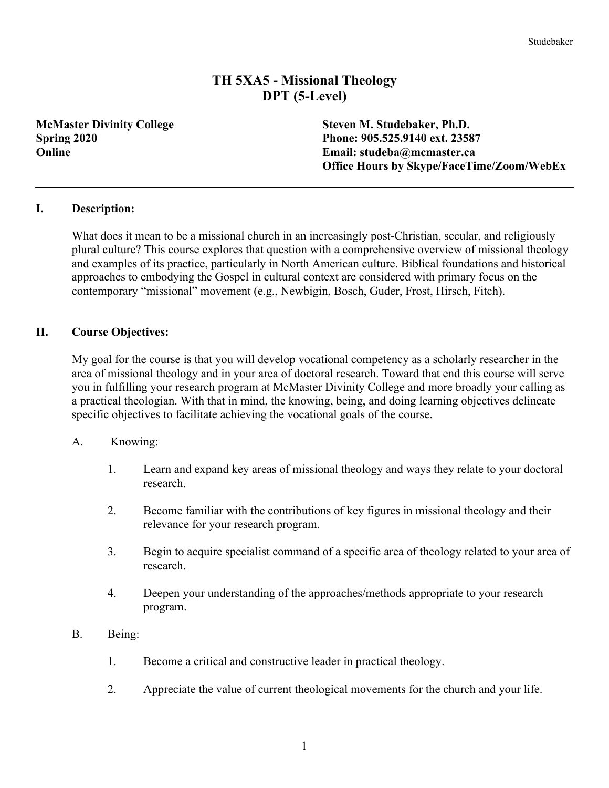# **TH 5XA5 - Missional Theology DPT (5-Level)**

**McMaster Divinity College Steven M. Studebaker, Ph.D. Spring 2020 Phone: 905.525.9140 ext. 23587 Online Email: studeba@mcmaster.ca Office Hours by Skype/FaceTime/Zoom/WebEx**

#### **I. Description:**

What does it mean to be a missional church in an increasingly post-Christian, secular, and religiously plural culture? This course explores that question with a comprehensive overview of missional theology and examples of its practice, particularly in North American culture. Biblical foundations and historical approaches to embodying the Gospel in cultural context are considered with primary focus on the contemporary "missional" movement (e.g., Newbigin, Bosch, Guder, Frost, Hirsch, Fitch).

#### **II. Course Objectives:**

My goal for the course is that you will develop vocational competency as a scholarly researcher in the area of missional theology and in your area of doctoral research. Toward that end this course will serve you in fulfilling your research program at McMaster Divinity College and more broadly your calling as a practical theologian. With that in mind, the knowing, being, and doing learning objectives delineate specific objectives to facilitate achieving the vocational goals of the course.

- A. Knowing:
	- 1. Learn and expand key areas of missional theology and ways they relate to your doctoral research.
	- 2. Become familiar with the contributions of key figures in missional theology and their relevance for your research program.
	- 3. Begin to acquire specialist command of a specific area of theology related to your area of research.
	- 4. Deepen your understanding of the approaches/methods appropriate to your research program.
- B. Being:
	- 1. Become a critical and constructive leader in practical theology.
	- 2. Appreciate the value of current theological movements for the church and your life.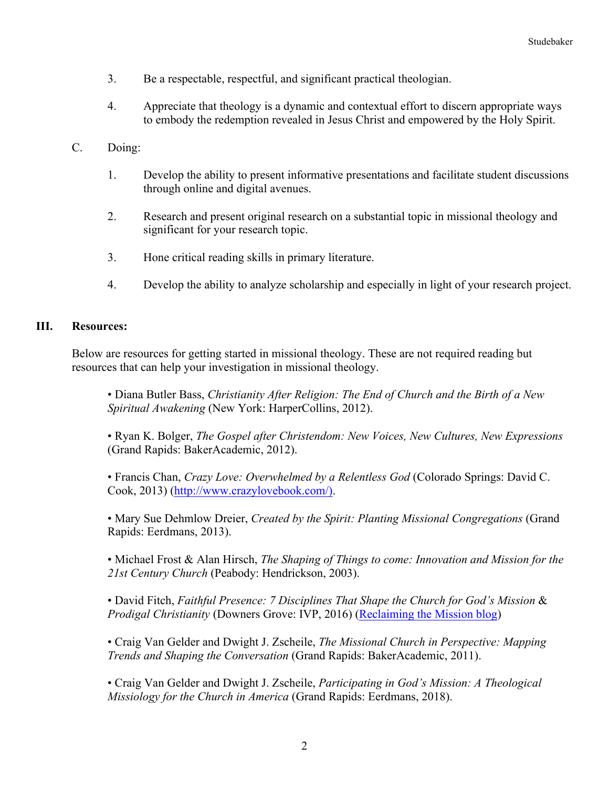- 3. Be a respectable, respectful, and significant practical theologian.
- 4. Appreciate that theology is a dynamic and contextual effort to discern appropriate ways to embody the redemption revealed in Jesus Christ and empowered by the Holy Spirit.
- C. Doing:
	- 1. Develop the ability to present informative presentations and facilitate student discussions through online and digital avenues.
	- 2. Research and present original research on a substantial topic in missional theology and significant for your research topic.
	- 3. Hone critical reading skills in primary literature.
	- 4. Develop the ability to analyze scholarship and especially in light of your research project.

### **III. Resources:**

Below are resources for getting started in missional theology. These are not required reading but resources that can help your investigation in missional theology.

• Diana Butler Bass, *Christianity After Religion: The End of Church and the Birth of a New Spiritual Awakening* (New York: HarperCollins, 2012).

• Ryan K. Bolger, *The Gospel after Christendom: New Voices, New Cultures, New Expressions* (Grand Rapids: BakerAcademic, 2012).

• Francis Chan, *Crazy Love: Overwhelmed by a Relentless God* (Colorado Springs: David C. Cook, 2013) (http://www.crazylovebook.com/).

• Mary Sue Dehmlow Dreier, *Created by the Spirit: Planting Missional Congregations* (Grand Rapids: Eerdmans, 2013).

• Michael Frost & Alan Hirsch, *The Shaping of Things to come: Innovation and Mission for the 21st Century Church* (Peabody: Hendrickson, 2003).

• David Fitch, *Faithful Presence: 7 Disciplines That Shape the Church for God's Mission* & *Prodigal Christianity* (Downers Grove: IVP, 2016) (Reclaiming the Mission blog)

• Craig Van Gelder and Dwight J. Zscheile, *The Missional Church in Perspective: Mapping Trends and Shaping the Conversation* (Grand Rapids: BakerAcademic, 2011).

• Craig Van Gelder and Dwight J. Zscheile, *Participating in God's Mission: A Theological Missiology for the Church in America* (Grand Rapids: Eerdmans, 2018).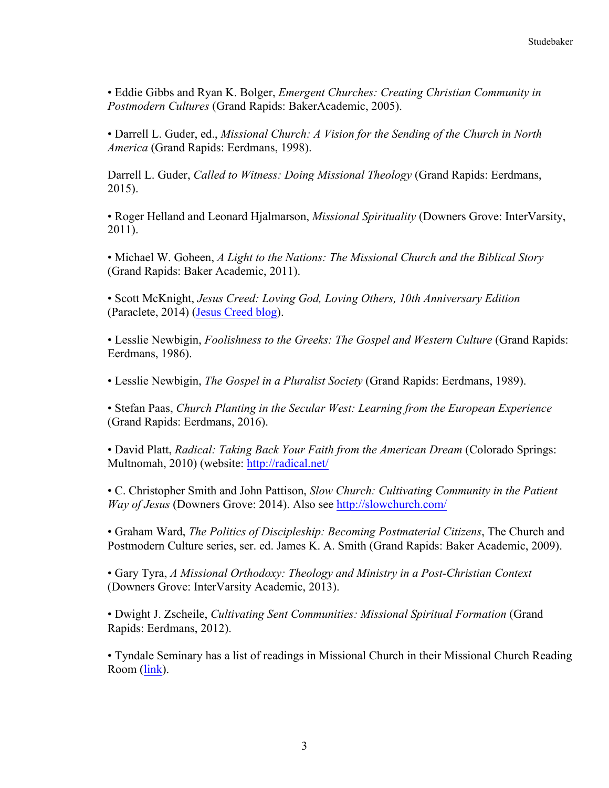• Eddie Gibbs and Ryan K. Bolger, *Emergent Churches: Creating Christian Community in Postmodern Cultures* (Grand Rapids: BakerAcademic, 2005).

• Darrell L. Guder, ed., *Missional Church: A Vision for the Sending of the Church in North America* (Grand Rapids: Eerdmans, 1998).

Darrell L. Guder, *Called to Witness: Doing Missional Theology* (Grand Rapids: Eerdmans, 2015).

• Roger Helland and Leonard Hjalmarson, *Missional Spirituality* (Downers Grove: InterVarsity, 2011).

• Michael W. Goheen, *A Light to the Nations: The Missional Church and the Biblical Story* (Grand Rapids: Baker Academic, 2011).

• Scott McKnight, *Jesus Creed: Loving God, Loving Others, 10th Anniversary Edition* (Paraclete, 2014) (Jesus Creed blog).

• Lesslie Newbigin, *Foolishness to the Greeks: The Gospel and Western Culture* (Grand Rapids: Eerdmans, 1986).

• Lesslie Newbigin, *The Gospel in a Pluralist Society* (Grand Rapids: Eerdmans, 1989).

• Stefan Paas, *Church Planting in the Secular West: Learning from the European Experience* (Grand Rapids: Eerdmans, 2016).

• David Platt, *Radical: Taking Back Your Faith from the American Dream* (Colorado Springs: Multnomah, 2010) (website: http://radical.net/

• C. Christopher Smith and John Pattison, *Slow Church: Cultivating Community in the Patient Way of Jesus* (Downers Grove: 2014). Also see http://slowchurch.com/

• Graham Ward, *The Politics of Discipleship: Becoming Postmaterial Citizens*, The Church and Postmodern Culture series, ser. ed. James K. A. Smith (Grand Rapids: Baker Academic, 2009).

• Gary Tyra, *A Missional Orthodoxy: Theology and Ministry in a Post-Christian Context* (Downers Grove: InterVarsity Academic, 2013).

• Dwight J. Zscheile, *Cultivating Sent Communities: Missional Spiritual Formation* (Grand Rapids: Eerdmans, 2012).

• Tyndale Seminary has a list of readings in Missional Church in their Missional Church Reading Room (link).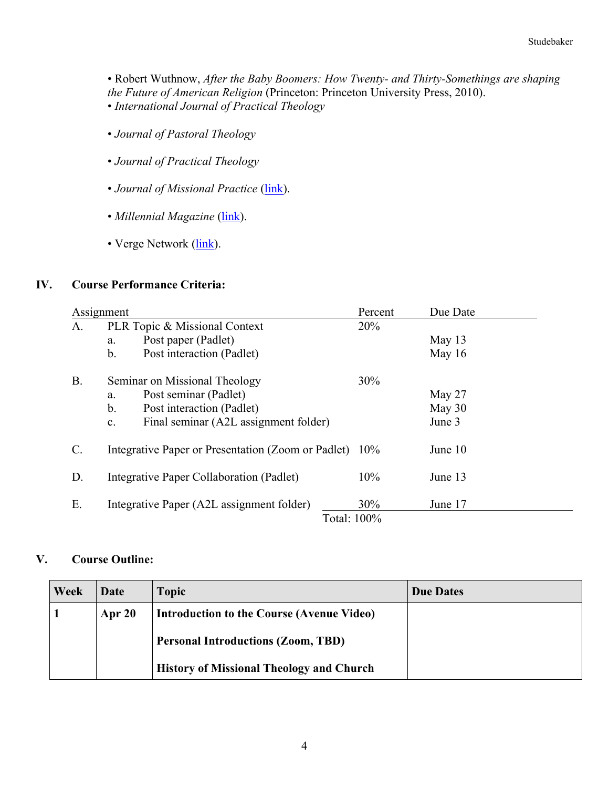• Robert Wuthnow, *After the Baby Boomers: How Twenty- and Thirty-Somethings are shaping the Future of American Religion* (Princeton: Princeton University Press, 2010). • *International Journal of Practical Theology*

- *Journal of Pastoral Theology*
- *Journal of Practical Theology*
- *Journal of Missional Practice* (link).
- *Millennial Magazine* (link).
- Verge Network (link).

#### **IV. Course Performance Criteria:**

| Assignment      |                                                         | Percent | Due Date |  |  |
|-----------------|---------------------------------------------------------|---------|----------|--|--|
| A.              | PLR Topic & Missional Context                           | 20%     |          |  |  |
|                 | Post paper (Padlet)<br>a.                               |         | May $13$ |  |  |
|                 | b.<br>Post interaction (Padlet)                         |         | May 16   |  |  |
| <b>B.</b>       | Seminar on Missional Theology                           | 30%     |          |  |  |
|                 | Post seminar (Padlet)<br>a.                             |         | May 27   |  |  |
|                 | $b_{\cdot}$<br>Post interaction (Padlet)                |         | May 30   |  |  |
|                 | Final seminar (A2L assignment folder)<br>C <sub>1</sub> |         | June 3   |  |  |
| $\mathcal{C}$ . | Integrative Paper or Presentation (Zoom or Padlet) 10%  |         | June 10  |  |  |
| D.              | Integrative Paper Collaboration (Padlet)                | 10%     | June 13  |  |  |
| Ε.              | Integrative Paper (A2L assignment folder)               | 30%     | June 17  |  |  |
|                 | Total: 100%                                             |         |          |  |  |

### **V. Course Outline:**

| Week | Date   | <b>Topic</b>                                    | <b>Due Dates</b> |
|------|--------|-------------------------------------------------|------------------|
|      | Apr 20 | Introduction to the Course (Avenue Video)       |                  |
|      |        | <b>Personal Introductions (Zoom, TBD)</b>       |                  |
|      |        | <b>History of Missional Theology and Church</b> |                  |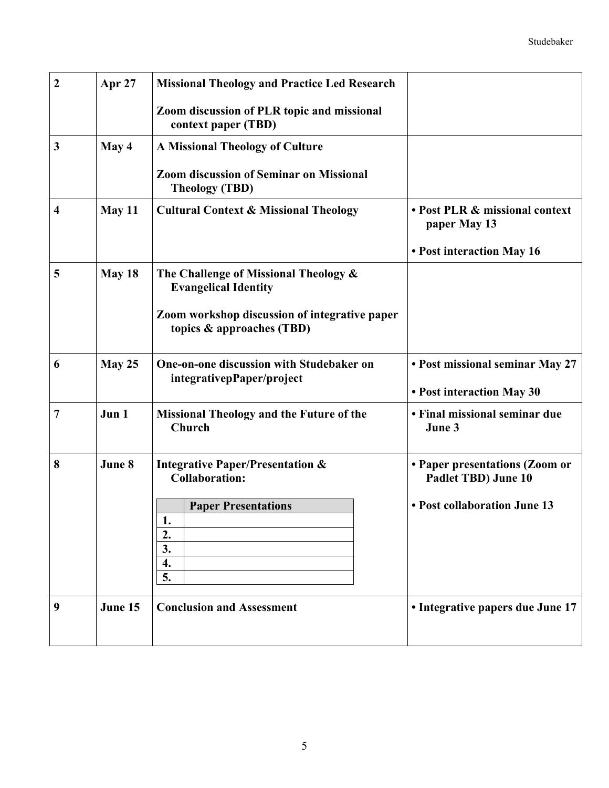| $\boldsymbol{2}$ | Apr 27  | <b>Missional Theology and Practice Led Research</b>                        |                                                              |
|------------------|---------|----------------------------------------------------------------------------|--------------------------------------------------------------|
|                  |         | Zoom discussion of PLR topic and missional<br>context paper (TBD)          |                                                              |
| 3                | May 4   | <b>A Missional Theology of Culture</b>                                     |                                                              |
|                  |         | <b>Zoom discussion of Seminar on Missional</b><br><b>Theology (TBD)</b>    |                                                              |
| 4                | May 11  | <b>Cultural Context &amp; Missional Theology</b>                           | • Post PLR & missional context<br>paper May 13               |
|                  |         |                                                                            | • Post interaction May 16                                    |
| 5                | May 18  | The Challenge of Missional Theology &<br><b>Evangelical Identity</b>       |                                                              |
|                  |         | Zoom workshop discussion of integrative paper<br>topics & approaches (TBD) |                                                              |
| 6                | May 25  | One-on-one discussion with Studebaker on<br>integrativepPaper/project      | • Post missional seminar May 27<br>• Post interaction May 30 |
| 7                | Jun 1   | <b>Missional Theology and the Future of the</b><br>Church                  | • Final missional seminar due<br>June 3                      |
| 8                | June 8  | <b>Integrative Paper/Presentation &amp;</b><br><b>Collaboration:</b>       | • Paper presentations (Zoom or<br>Padlet TBD) June 10        |
|                  |         | <b>Paper Presentations</b><br>ı.                                           | • Post collaboration June 13                                 |
|                  |         | 2.<br>3.                                                                   |                                                              |
|                  |         | 4.<br>5.                                                                   |                                                              |
| 9                | June 15 | <b>Conclusion and Assessment</b>                                           | • Integrative papers due June 17                             |
|                  |         |                                                                            |                                                              |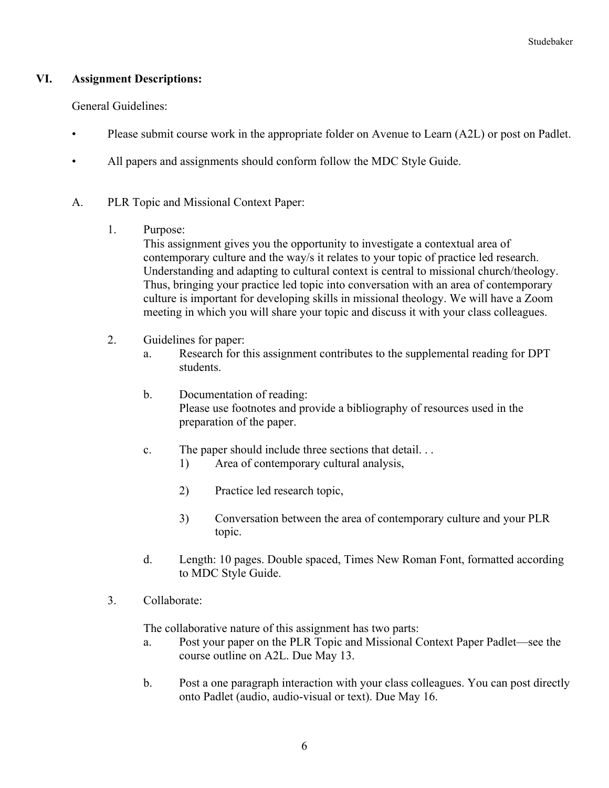### **VI. Assignment Descriptions:**

General Guidelines:

- Please submit course work in the appropriate folder on Avenue to Learn (A2L) or post on Padlet.
- All papers and assignments should conform follow the MDC Style Guide.
- A. PLR Topic and Missional Context Paper:
	- 1. Purpose:

This assignment gives you the opportunity to investigate a contextual area of contemporary culture and the way/s it relates to your topic of practice led research. Understanding and adapting to cultural context is central to missional church/theology. Thus, bringing your practice led topic into conversation with an area of contemporary culture is important for developing skills in missional theology. We will have a Zoom meeting in which you will share your topic and discuss it with your class colleagues.

- 2. Guidelines for paper:
	- a. Research for this assignment contributes to the supplemental reading for DPT students.
	- b. Documentation of reading: Please use footnotes and provide a bibliography of resources used in the preparation of the paper.
	- c. The paper should include three sections that detail. . .
		- 1) Area of contemporary cultural analysis,
		- 2) Practice led research topic,
		- 3) Conversation between the area of contemporary culture and your PLR topic.
	- d. Length: 10 pages. Double spaced, Times New Roman Font, formatted according to MDC Style Guide.
- 3. Collaborate:

The collaborative nature of this assignment has two parts:

- a. Post your paper on the PLR Topic and Missional Context Paper Padlet—see the course outline on A2L. Due May 13.
- b. Post a one paragraph interaction with your class colleagues. You can post directly onto Padlet (audio, audio-visual or text). Due May 16.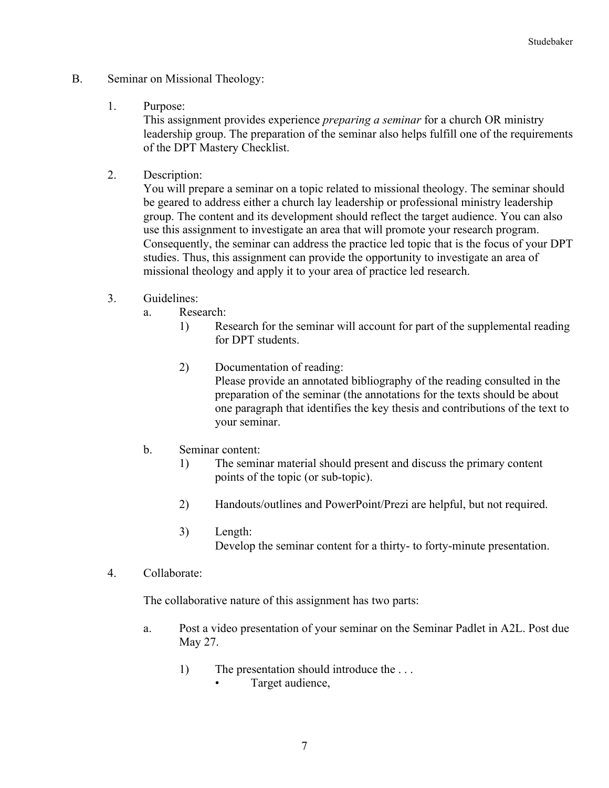- B. Seminar on Missional Theology:
	- 1. Purpose:

This assignment provides experience *preparing a seminar* for a church OR ministry leadership group. The preparation of the seminar also helps fulfill one of the requirements of the DPT Mastery Checklist.

2. Description:

You will prepare a seminar on a topic related to missional theology. The seminar should be geared to address either a church lay leadership or professional ministry leadership group. The content and its development should reflect the target audience. You can also use this assignment to investigate an area that will promote your research program. Consequently, the seminar can address the practice led topic that is the focus of your DPT studies. Thus, this assignment can provide the opportunity to investigate an area of missional theology and apply it to your area of practice led research.

- 3. Guidelines:
	- a. Research:
		- 1) Research for the seminar will account for part of the supplemental reading for DPT students.
		- 2) Documentation of reading: Please provide an annotated bibliography of the reading consulted in the preparation of the seminar (the annotations for the texts should be about one paragraph that identifies the key thesis and contributions of the text to your seminar.
	- b. Seminar content:
		- 1) The seminar material should present and discuss the primary content points of the topic (or sub-topic).
		- 2) Handouts/outlines and PowerPoint/Prezi are helpful, but not required.
		- 3) Length: Develop the seminar content for a thirty- to forty-minute presentation.
- 4. Collaborate:

The collaborative nature of this assignment has two parts:

- a. Post a video presentation of your seminar on the Seminar Padlet in A2L. Post due May 27.
	- 1) The presentation should introduce the . . . • Target audience,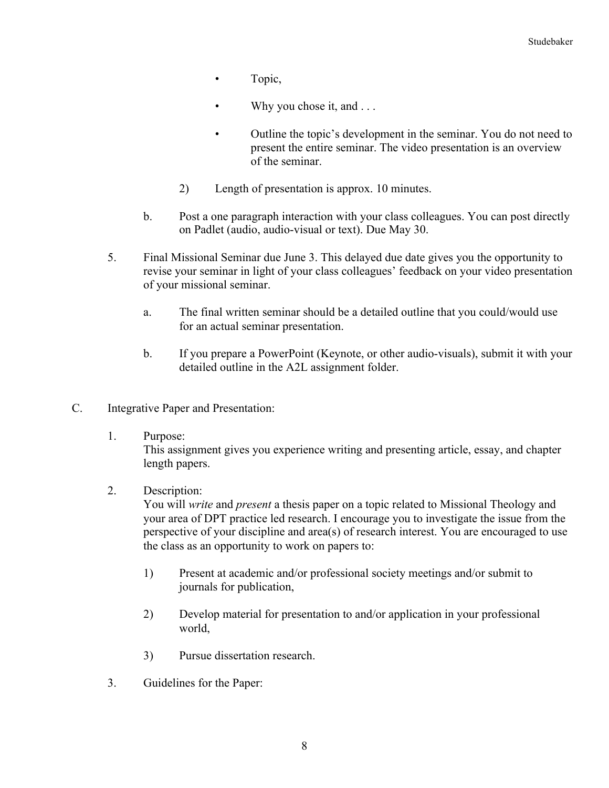- Topic,
- Why you chose it, and ...
- Outline the topic's development in the seminar. You do not need to present the entire seminar. The video presentation is an overview of the seminar.
- 2) Length of presentation is approx. 10 minutes.
- b. Post a one paragraph interaction with your class colleagues. You can post directly on Padlet (audio, audio-visual or text). Due May 30.
- 5. Final Missional Seminar due June 3. This delayed due date gives you the opportunity to revise your seminar in light of your class colleagues' feedback on your video presentation of your missional seminar.
	- a. The final written seminar should be a detailed outline that you could/would use for an actual seminar presentation.
	- b. If you prepare a PowerPoint (Keynote, or other audio-visuals), submit it with your detailed outline in the A2L assignment folder.
- C. Integrative Paper and Presentation:
	- 1. Purpose:

This assignment gives you experience writing and presenting article, essay, and chapter length papers.

2. Description:

You will *write* and *present* a thesis paper on a topic related to Missional Theology and your area of DPT practice led research. I encourage you to investigate the issue from the perspective of your discipline and area(s) of research interest. You are encouraged to use the class as an opportunity to work on papers to:

- 1) Present at academic and/or professional society meetings and/or submit to journals for publication,
- 2) Develop material for presentation to and/or application in your professional world,
- 3) Pursue dissertation research.
- 3. Guidelines for the Paper: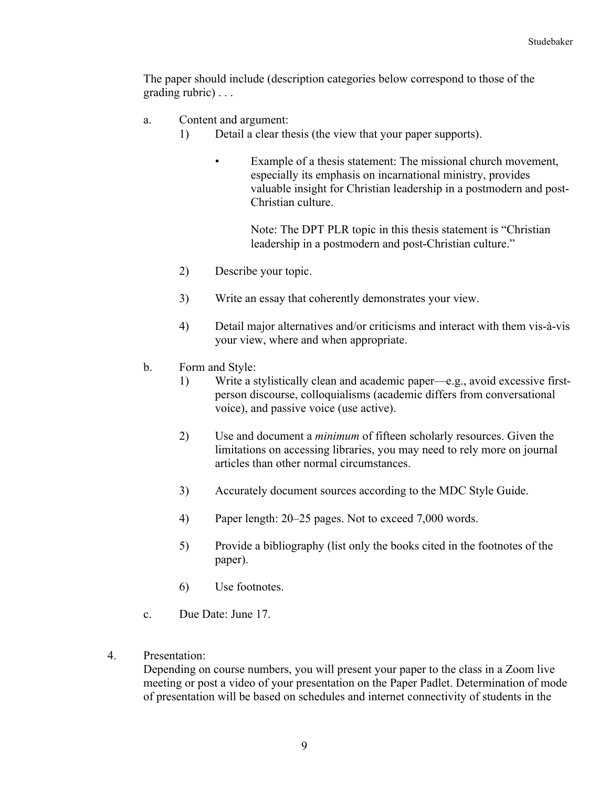The paper should include (description categories below correspond to those of the grading rubric) . . .

- a. Content and argument:
	- 1) Detail a clear thesis (the view that your paper supports).
		- Example of a thesis statement: The missional church movement, especially its emphasis on incarnational ministry, provides valuable insight for Christian leadership in a postmodern and post-Christian culture.

Note: The DPT PLR topic in this thesis statement is "Christian leadership in a postmodern and post-Christian culture."

- 2) Describe your topic.
- 3) Write an essay that coherently demonstrates your view.
- 4) Detail major alternatives and/or criticisms and interact with them vis-à-vis your view, where and when appropriate.
- b. Form and Style:
	- 1) Write a stylistically clean and academic paper—e.g., avoid excessive firstperson discourse, colloquialisms (academic differs from conversational voice), and passive voice (use active).
	- 2) Use and document a *minimum* of fifteen scholarly resources. Given the limitations on accessing libraries, you may need to rely more on journal articles than other normal circumstances.
	- 3) Accurately document sources according to the MDC Style Guide.
	- 4) Paper length: 20–25 pages. Not to exceed 7,000 words.
	- 5) Provide a bibliography (list only the books cited in the footnotes of the paper).
	- 6) Use footnotes.
- c. Due Date: June 17.
- 4. Presentation:

Depending on course numbers, you will present your paper to the class in a Zoom live meeting or post a video of your presentation on the Paper Padlet. Determination of mode of presentation will be based on schedules and internet connectivity of students in the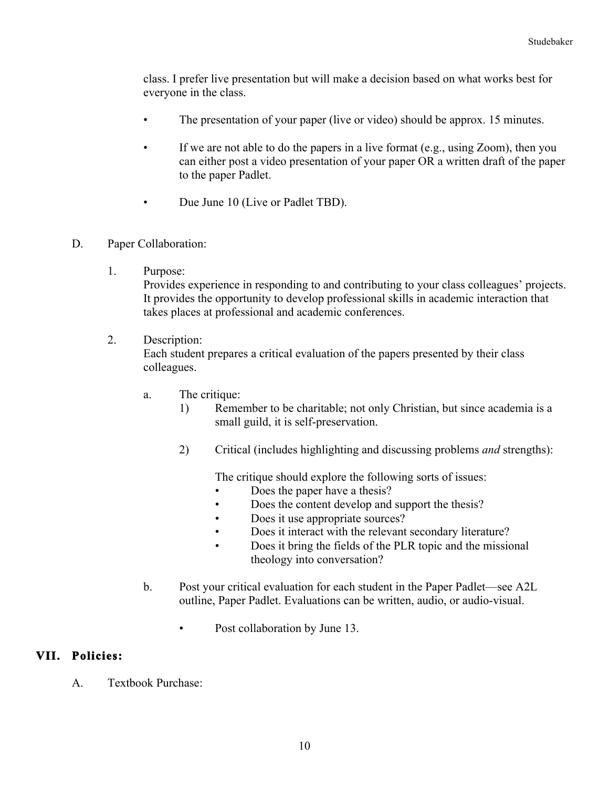class. I prefer live presentation but will make a decision based on what works best for everyone in the class.

- The presentation of your paper (live or video) should be approx. 15 minutes.
- If we are not able to do the papers in a live format (e.g., using Zoom), then you can either post a video presentation of your paper OR a written draft of the paper to the paper Padlet.
- Due June 10 (Live or Padlet TBD).
- D. Paper Collaboration:
	- 1. Purpose:

Provides experience in responding to and contributing to your class colleagues' projects. It provides the opportunity to develop professional skills in academic interaction that takes places at professional and academic conferences.

2. Description:

Each student prepares a critical evaluation of the papers presented by their class colleagues.

- a. The critique:
	- 1) Remember to be charitable; not only Christian, but since academia is a small guild, it is self-preservation.
	- 2) Critical (includes highlighting and discussing problems *and* strengths):

The critique should explore the following sorts of issues:

- Does the paper have a thesis?
- Does the content develop and support the thesis?
- Does it use appropriate sources?
- Does it interact with the relevant secondary literature?
- Does it bring the fields of the PLR topic and the missional theology into conversation?
- b. Post your critical evaluation for each student in the Paper Padlet—see A2L outline, Paper Padlet. Evaluations can be written, audio, or audio-visual.
	- Post collaboration by June 13.

## **VII. Policies:**

A. Textbook Purchase: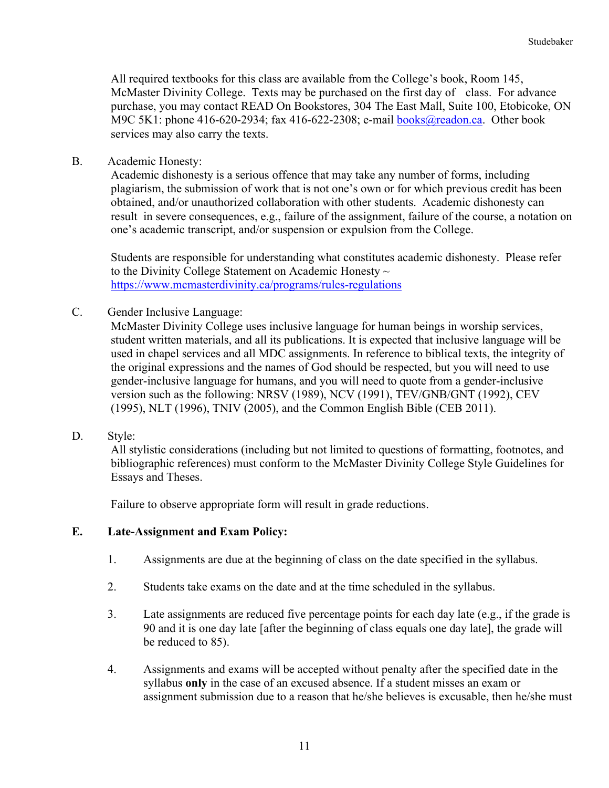All required textbooks for this class are available from the College's book, Room 145, McMaster Divinity College. Texts may be purchased on the first day of class. For advance purchase, you may contact READ On Bookstores, 304 The East Mall, Suite 100, Etobicoke, ON M9C 5K1: phone 416-620-2934; fax 416-622-2308; e-mail books@readon.ca. Other book services may also carry the texts.

B. Academic Honesty:

Academic dishonesty is a serious offence that may take any number of forms, including plagiarism, the submission of work that is not one's own or for which previous credit has been obtained, and/or unauthorized collaboration with other students. Academic dishonesty can result in severe consequences, e.g., failure of the assignment, failure of the course, a notation on one's academic transcript, and/or suspension or expulsion from the College.

Students are responsible for understanding what constitutes academic dishonesty. Please refer to the Divinity College Statement on Academic Honesty  $\sim$ https://www.mcmasterdivinity.ca/programs/rules-regulations

C. Gender Inclusive Language:

McMaster Divinity College uses inclusive language for human beings in worship services, student written materials, and all its publications. It is expected that inclusive language will be used in chapel services and all MDC assignments. In reference to biblical texts, the integrity of the original expressions and the names of God should be respected, but you will need to use gender-inclusive language for humans, and you will need to quote from a gender-inclusive version such as the following: NRSV (1989), NCV (1991), TEV/GNB/GNT (1992), CEV (1995), NLT (1996), TNIV (2005), and the Common English Bible (CEB 2011).

D. Style:

All stylistic considerations (including but not limited to questions of formatting, footnotes, and bibliographic references) must conform to the McMaster Divinity College Style Guidelines for Essays and Theses.

Failure to observe appropriate form will result in grade reductions.

### **E. Late-Assignment and Exam Policy:**

- 1. Assignments are due at the beginning of class on the date specified in the syllabus.
- 2. Students take exams on the date and at the time scheduled in the syllabus.
- 3. Late assignments are reduced five percentage points for each day late (e.g., if the grade is 90 and it is one day late [after the beginning of class equals one day late], the grade will be reduced to 85).
- 4. Assignments and exams will be accepted without penalty after the specified date in the syllabus **only** in the case of an excused absence. If a student misses an exam or assignment submission due to a reason that he/she believes is excusable, then he/she must